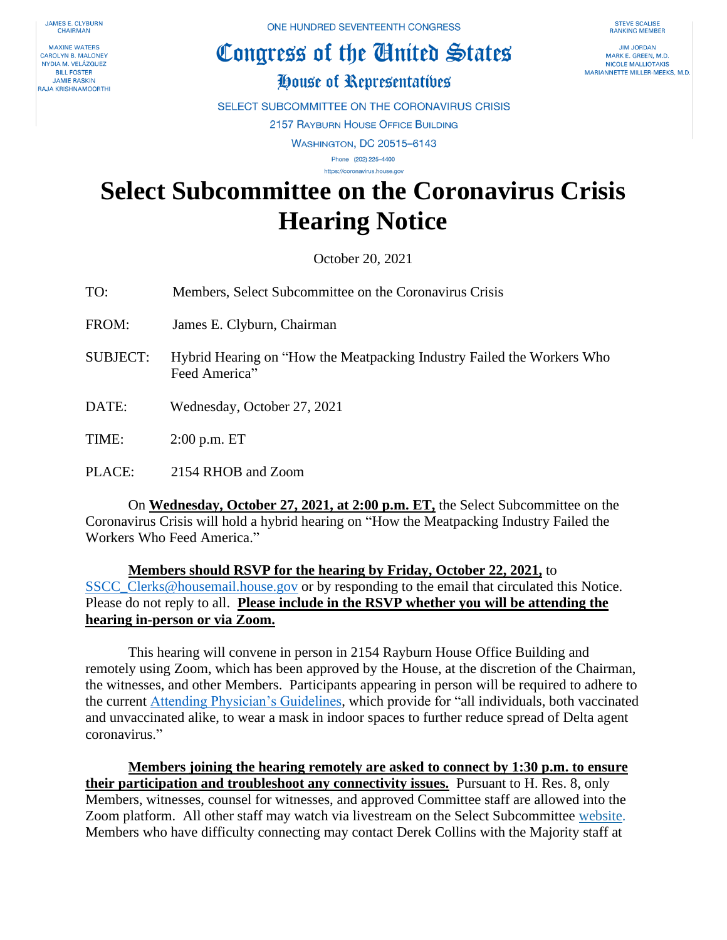**JAMES E. CLYBURN CHAIRMAN** 

**MAXINE WATERS CAROLYN B. MALONEY** NYDIA M. VELÁZQUEZ **BILL FOSTER JAMIF RASKIN RAJA KRISHNAMOORTHI**  ONE HUNDRED SEVENTEENTH CONGRESS

## Congress of the Cinited States

**STEVE SCALISE RANKING MEMBER** 

**JIM JORDAN** MARK E. GREEN, M.D. NICOLE MALLIOTAKIS MARIANNETTE MILLER-MEEKS, M.D.

## House of Representatives

SELECT SUBCOMMITTEE ON THE CORONAVIRUS CRISIS

2157 RAYBURN HOUSE OFFICE BUILDING

**WASHINGTON, DC 20515-6143** 

Phone (202) 225-4400 https://coronavirus.house.gov

## **Select Subcommittee on the Coronavirus Crisis Hearing Notice**

October 20, 2021

- TO: Members, Select Subcommittee on the Coronavirus Crisis
- FROM: James E. Clyburn, Chairman
- SUBJECT: Hybrid Hearing on "How the Meatpacking Industry Failed the Workers Who Feed America"
- DATE: Wednesday, October 27, 2021

TIME: 2:00 p.m. ET

PLACE: 2154 RHOB and Zoom

On **Wednesday, October 27, 2021, at 2:00 p.m. ET,** the Select Subcommittee on the Coronavirus Crisis will hold a hybrid hearing on "How the Meatpacking Industry Failed the Workers Who Feed America."

**Members should RSVP for the hearing by Friday, October 22, 2021,** to [SSCC\\_Clerks@housemail.house.gov](mailto:SSCC_Clerks@housemail.house.gov) or by responding to the email that circulated this Notice. Please do not reply to all. **Please include in the RSVP whether you will be attending the hearing in-person or via Zoom.**

This hearing will convene in person in 2154 Rayburn House Office Building and remotely using Zoom, which has been approved by the House, at the discretion of the Chairman, the witnesses, and other Members. Participants appearing in person will be required to adhere to the current [Attending Physician's Guidelines,](https://cha.house.gov/sites/democrats.cha.house.gov/files/DISTRIBUTION%20Verion%206%20%20Jun%2011%202021%20%20Attending%20Physician%20Pandemic%20%20Guidelines%20with%20summary.pdf) which provide for "all individuals, both vaccinated and unvaccinated alike, to wear a mask in indoor spaces to further reduce spread of Delta agent coronavirus."

**Members joining the hearing remotely are asked to connect by 1:30 p.m. to ensure their participation and troubleshoot any connectivity issues.** Pursuant to H. Res. 8, only Members, witnesses, counsel for witnesses, and approved Committee staff are allowed into the Zoom platform. All other staff may watch via livestream on the Select Subcommittee [website.](https://coronavirus.house.gov/) Members who have difficulty connecting may contact Derek Collins with the Majority staff at